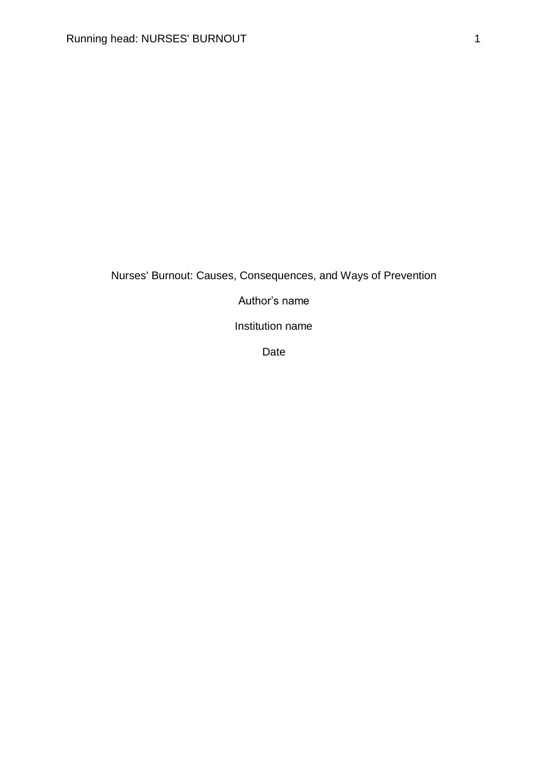# Nurses' Burnout: Causes, Consequences, and Ways of Prevention

Author's name

Institution name

Date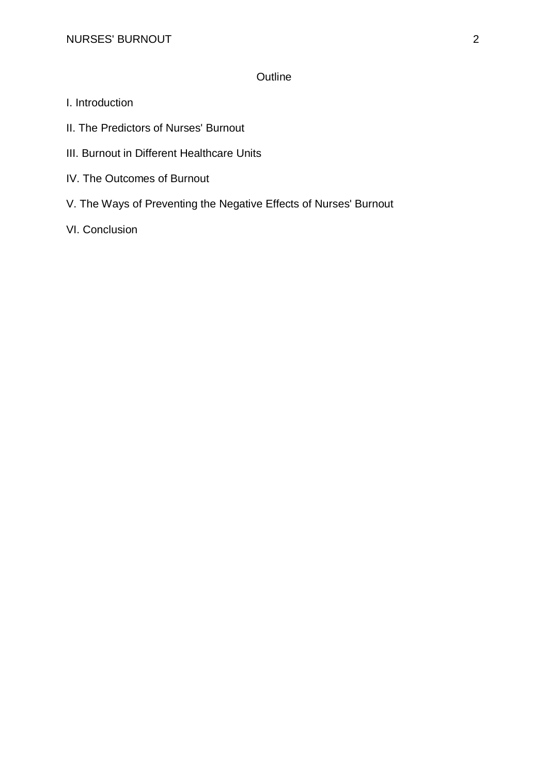## **Outline**

- I. Introduction
- II. The Predictors of Nurses' Burnout
- III. Burnout in Different Healthcare Units
- IV. The Outcomes of Burnout
- V. The Ways of Preventing the Negative Effects of Nurses' Burnout
- VI. Conclusion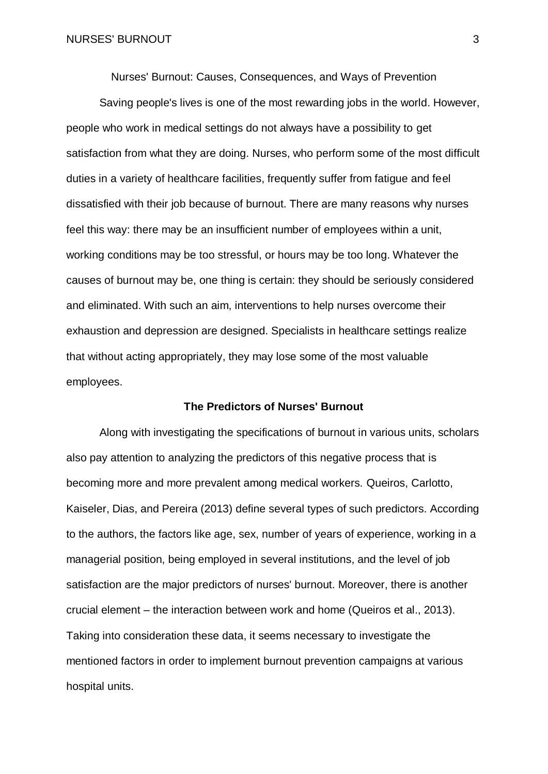Nurses' Burnout: Causes, Consequences, and Ways of Prevention

Saving people's lives is one of the most rewarding jobs in the world. However, people who work in medical settings do not always have a possibility to get satisfaction from what they are doing. Nurses, who perform some of the most difficult duties in a variety of healthcare facilities, frequently suffer from fatigue and feel dissatisfied with their job because of burnout. There are many reasons why nurses feel this way: there may be an insufficient number of employees within a unit, working conditions may be too stressful, or hours may be too long. Whatever the causes of burnout may be, one thing is certain: they should be seriously considered and eliminated. With such an aim, interventions to help nurses overcome their exhaustion and depression are designed. Specialists in healthcare settings realize that without acting appropriately, they may lose some of the most valuable employees.

### **The Predictors of Nurses' Burnout**

Along with investigating the specifications of burnout in various units, scholars also pay attention to analyzing the predictors of this negative process that is becoming more and more prevalent among medical workers. Queiros, Carlotto, Kaiseler, Dias, and Pereira (2013) define several types of such predictors. According to the authors, the factors like age, sex, number of years of experience, working in a managerial position, being employed in several institutions, and the level of job satisfaction are the major predictors of nurses' burnout. Moreover, there is another crucial element – the interaction between work and home (Queiros et al., 2013). Taking into consideration these data, it seems necessary to investigate the mentioned factors in order to implement burnout prevention campaigns at various hospital units.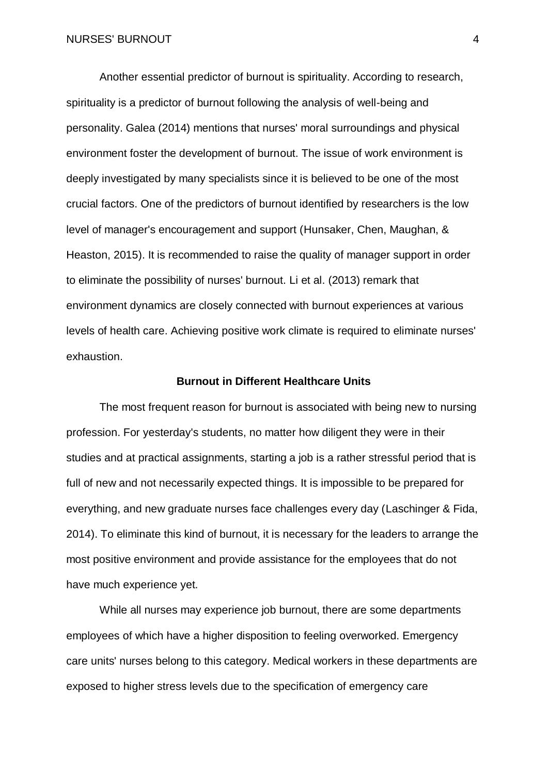Another essential predictor of burnout is spirituality. According to research, spirituality is a predictor of burnout following the analysis of well-being and personality. Galea (2014) mentions that nurses' moral surroundings and physical environment foster the development of burnout. The issue of work environment is deeply investigated by many specialists since it is believed to be one of the most crucial factors. One of the predictors of burnout identified by researchers is the low level of manager's encouragement and support (Hunsaker, Chen, Maughan, & Heaston, 2015). It is recommended to raise the quality of manager support in order to eliminate the possibility of nurses' burnout. Li et al. (2013) remark that environment dynamics are closely connected with burnout experiences at various levels of health care. Achieving positive work climate is required to eliminate nurses' exhaustion.

#### **Burnout in Different Healthcare Units**

The most frequent reason for burnout is associated with being new to nursing profession. For yesterday's students, no matter how diligent they were in their studies and at practical assignments, starting a job is a rather stressful period that is full of new and not necessarily expected things. It is impossible to be prepared for everything, and new graduate nurses face challenges every day (Laschinger & Fida, 2014). To eliminate this kind of burnout, it is necessary for the leaders to arrange the most positive environment and provide assistance for the employees that do not have much experience yet.

While all nurses may experience job burnout, there are some departments employees of which have a higher disposition to feeling overworked. Emergency care units' nurses belong to this category. Medical workers in these departments are exposed to higher stress levels due to the specification of emergency care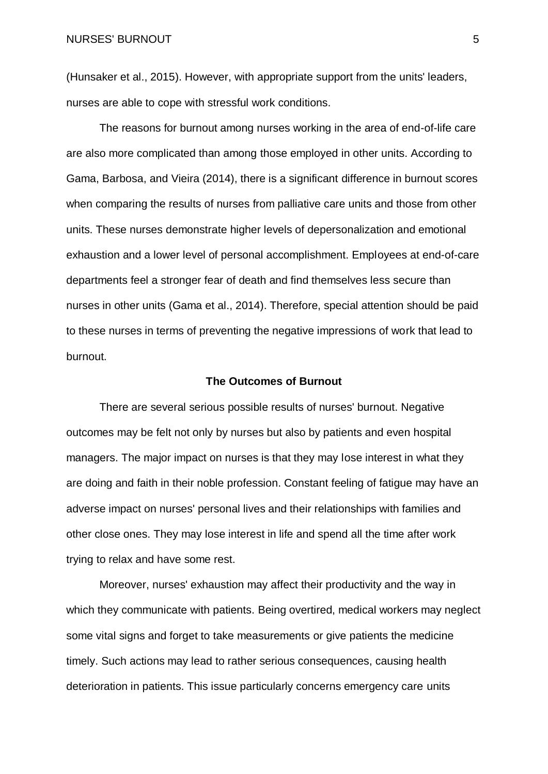(Hunsaker et al., 2015). However, with appropriate support from the units' leaders, nurses are able to cope with stressful work conditions.

The reasons for burnout among nurses working in the area of end-of-life care are also more complicated than among those employed in other units. According to Gama, Barbosa, and Vieira (2014), there is a significant difference in burnout scores when comparing the results of nurses from palliative care units and those from other units. These nurses demonstrate higher levels of depersonalization and emotional exhaustion and a lower level of personal accomplishment. Employees at end-of-care departments feel a stronger fear of death and find themselves less secure than nurses in other units (Gama et al., 2014). Therefore, special attention should be paid to these nurses in terms of preventing the negative impressions of work that lead to burnout.

#### **The Outcomes of Burnout**

There are several serious possible results of nurses' burnout. Negative outcomes may be felt not only by nurses but also by patients and even hospital managers. The major impact on nurses is that they may lose interest in what they are doing and faith in their noble profession. Constant feeling of fatigue may have an adverse impact on nurses' personal lives and their relationships with families and other close ones. They may lose interest in life and spend all the time after work trying to relax and have some rest.

Moreover, nurses' exhaustion may affect their productivity and the way in which they communicate with patients. Being overtired, medical workers may neglect some vital signs and forget to take measurements or give patients the medicine timely. Such actions may lead to rather serious consequences, causing health deterioration in patients. This issue particularly concerns emergency care units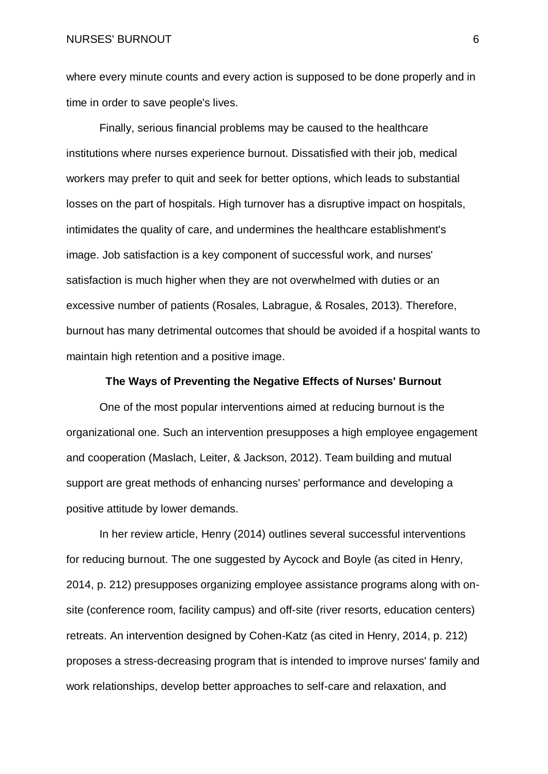NURSES' BURNOUT 6

where every minute counts and every action is supposed to be done properly and in time in order to save people's lives.

Finally, serious financial problems may be caused to the healthcare institutions where nurses experience burnout. Dissatisfied with their job, medical workers may prefer to quit and seek for better options, which leads to substantial losses on the part of hospitals. High turnover has a disruptive impact on hospitals, intimidates the quality of care, and undermines the healthcare establishment's image. Job satisfaction is a key component of successful work, and nurses' satisfaction is much higher when they are not overwhelmed with duties or an excessive number of patients (Rosales, Labrague, & Rosales, 2013). Therefore, burnout has many detrimental outcomes that should be avoided if a hospital wants to maintain high retention and a positive image.

#### **The Ways of Preventing the Negative Effects of Nurses' Burnout**

One of the most popular interventions aimed at reducing burnout is the organizational one. Such an intervention presupposes a high employee engagement and cooperation (Maslach, Leiter, & Jackson, 2012). Team building and mutual support are great methods of enhancing nurses' performance and developing a positive attitude by lower demands.

In her review article, Henry (2014) outlines several successful interventions for reducing burnout. The one suggested by Aycock and Boyle (as cited in Henry, 2014, p. 212) presupposes organizing employee assistance programs along with onsite (conference room, facility campus) and off-site (river resorts, education centers) retreats. An intervention designed by Cohen-Katz (as cited in Henry, 2014, p. 212) proposes a stress-decreasing program that is intended to improve nurses' family and work relationships, develop better approaches to self-care and relaxation, and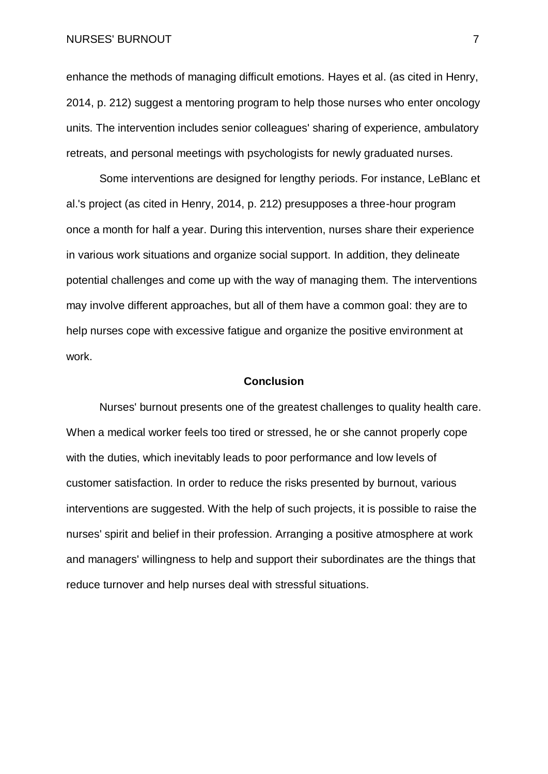NURSES' BURNOUT THE RESERVE OF THE RESERVE OF THE RESERVE OF THE RESERVE OF THE RESERVE OF THE RESERVE OF THE RESERVE OF THE RESERVE OF THE RESERVE OF THE RESERVE OF THE RESERVE OF THE RESERVE OF THE RESERVE OF THE RESERVE

enhance the methods of managing difficult emotions. Hayes et al. (as cited in Henry, 2014, p. 212) suggest a mentoring program to help those nurses who enter oncology units. The intervention includes senior colleagues' sharing of experience, ambulatory retreats, and personal meetings with psychologists for newly graduated nurses.

Some interventions are designed for lengthy periods. For instance, LeBlanc et al.'s project (as cited in Henry, 2014, p. 212) presupposes a three-hour program once a month for half a year. During this intervention, nurses share their experience in various work situations and organize social support. In addition, they delineate potential challenges and come up with the way of managing them. The interventions may involve different approaches, but all of them have a common goal: they are to help nurses cope with excessive fatigue and organize the positive environment at work.

#### **Conclusion**

Nurses' burnout presents one of the greatest challenges to quality health care. When a medical worker feels too tired or stressed, he or she cannot properly cope with the duties, which inevitably leads to poor performance and low levels of customer satisfaction. In order to reduce the risks presented by burnout, various interventions are suggested. With the help of such projects, it is possible to raise the nurses' spirit and belief in their profession. Arranging a positive atmosphere at work and managers' willingness to help and support their subordinates are the things that reduce turnover and help nurses deal with stressful situations.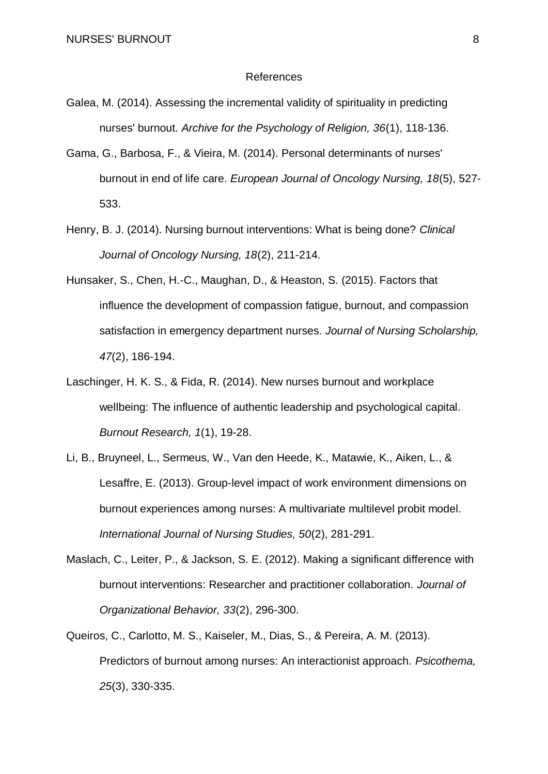#### References

- Galea, M. (2014). Assessing the incremental validity of spirituality in predicting nurses' burnout. *Archive for the Psychology of Religion, 36*(1), 118-136.
- Gama, G., Barbosa, F., & Vieira, M. (2014). Personal determinants of nurses' burnout in end of life care. *European Journal of Oncology Nursing, 18*(5), 527- 533.
- Henry, B. J. (2014). Nursing burnout interventions: What is being done? *Clinical Journal of Oncology Nursing, 18*(2), 211-214.
- Hunsaker, S., Chen, H.-C., Maughan, D., & Heaston, S. (2015). Factors that influence the development of compassion fatigue, burnout, and compassion satisfaction in emergency department nurses. *Journal of Nursing Scholarship, 47*(2), 186-194.
- Laschinger, H. K. S., & Fida, R. (2014). New nurses burnout and workplace wellbeing: The influence of authentic leadership and psychological capital. *Burnout Research, 1*(1), 19-28.
- Li, B., Bruyneel, L., Sermeus, W., Van den Heede, K., Matawie, K., Aiken, L., & Lesaffre, E. (2013). Group-level impact of work environment dimensions on burnout experiences among nurses: A multivariate multilevel probit model. *International Journal of Nursing Studies, 50*(2), 281-291.
- Maslach, C., Leiter, P., & Jackson, S. E. (2012). Making a significant difference with burnout interventions: Researcher and practitioner collaboration. *Journal of Organizational Behavior, 33*(2), 296-300.
- Queiros, C., Carlotto, M. S., Kaiseler, M., Dias, S., & Pereira, A. M. (2013). Predictors of burnout among nurses: An interactionist approach. *Psicothema, 25*(3), 330-335.